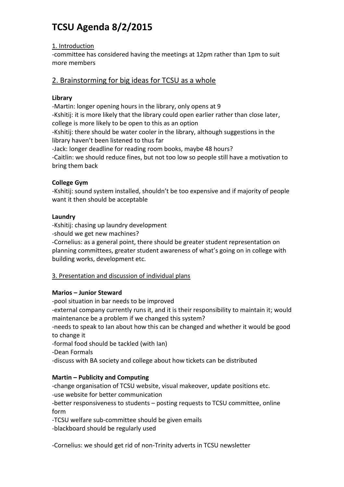# **TCSU Agenda 8/2/2015**

# 1. Introduction

-committee has considered having the meetings at 12pm rather than 1pm to suit more members

# 2. Brainstorming for big ideas for TCSU as a whole

# **Library**

-Martin: longer opening hours in the library, only opens at 9 -Kshitij: it is more likely that the library could open earlier rather than close later, college is more likely to be open to this as an option -Kshitij: there should be water cooler in the library, although suggestions in the library haven't been listened to thus far -Jack: longer deadline for reading room books, maybe 48 hours?

-Caitlin: we should reduce fines, but not too low so people still have a motivation to bring them back

# **College Gym**

-Kshitij: sound system installed, shouldn't be too expensive and if majority of people want it then should be acceptable

## **Laundry**

-Kshitij: chasing up laundry development

-should we get new machines?

-Cornelius: as a general point, there should be greater student representation on planning committees, greater student awareness of what's going on in college with building works, development etc.

# 3. Presentation and discussion of individual plans

## **Marios – Junior Steward**

-pool situation in bar needs to be improved

-external company currently runs it, and it is their responsibility to maintain it; would maintenance be a problem if we changed this system?

-needs to speak to Ian about how this can be changed and whether it would be good to change it

-formal food should be tackled (with Ian)

-Dean Formals

-discuss with BA society and college about how tickets can be distributed

# **Martin – Publicity and Computing**

-change organisation of TCSU website, visual makeover, update positions etc. -use website for better communication

-better responsiveness to students – posting requests to TCSU committee, online form

-TCSU welfare sub-committee should be given emails

-blackboard should be regularly used

-Cornelius: we should get rid of non-Trinity adverts in TCSU newsletter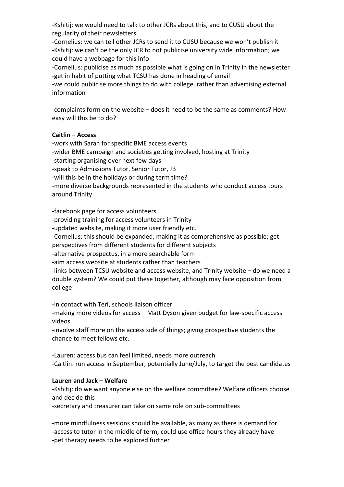-Kshitij: we would need to talk to other JCRs about this, and to CUSU about the regularity of their newsletters

-Cornelius: we can tell other JCRs to send it to CUSU because we won't publish it -Kshitij: we can't be the only JCR to not publicise university wide information; we could have a webpage for this info

-Cornelius: publicise as much as possible what is going on in Trinity in the newsletter -get in habit of putting what TCSU has done in heading of email

-we could publicise more things to do with college, rather than advertising external information

-complaints form on the website – does it need to be the same as comments? How easy will this be to do?

## **Caitlin – Access**

-work with Sarah for specific BME access events -wider BME campaign and societies getting involved, hosting at Trinity -starting organising over next few days -speak to Admissions Tutor, Senior Tutor, JB -will this be in the holidays or during term time? -more diverse backgrounds represented in the students who conduct access tours around Trinity

-facebook page for access volunteers

-providing training for access volunteers in Trinity

-updated website, making it more user friendly etc.

-Cornelius: this should be expanded, making it as comprehensive as possible; get perspectives from different students for different subjects

-alternative prospectus, in a more searchable form

-aim access website at students rather than teachers

-links between TCSU website and access website, and Trinity website – do we need a double system? We could put these together, although may face opposition from college

-in contact with Teri, schools liaison officer

-making more videos for access – Matt Dyson given budget for law-specific access videos

-involve staff more on the access side of things; giving prospective students the chance to meet fellows etc.

-Lauren: access bus can feel limited, needs more outreach -Caitlin: run access in September, potentially June/July, to target the best candidates

## **Lauren and Jack – Welfare**

-Kshitij: do we want anyone else on the welfare committee? Welfare officers choose and decide this

-secretary and treasurer can take on same role on sub-committees

-more mindfulness sessions should be available, as many as there is demand for -access to tutor in the middle of term; could use office hours they already have -pet therapy needs to be explored further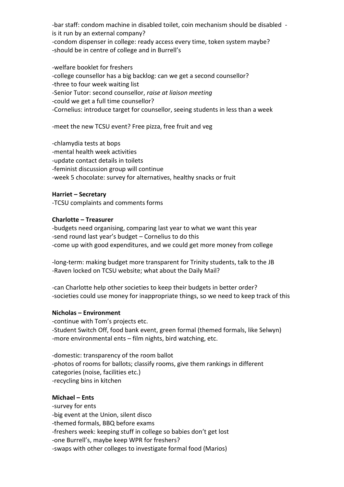-bar staff: condom machine in disabled toilet, coin mechanism should be disabled is it run by an external company?

-condom dispenser in college: ready access every time, token system maybe? -should be in centre of college and in Burrell's

-welfare booklet for freshers -college counsellor has a big backlog: can we get a second counsellor? -three to four week waiting list -Senior Tutor: second counsellor, *raise at liaison meeting* -could we get a full time counsellor? -Cornelius: introduce target for counsellor, seeing students in less than a week

-meet the new TCSU event? Free pizza, free fruit and veg

-chlamydia tests at bops

-mental health week activities

-update contact details in toilets

-feminist discussion group will continue

-week 5 chocolate: survey for alternatives, healthy snacks or fruit

#### **Harriet – Secretary**

-TCSU complaints and comments forms

#### **Charlotte – Treasurer**

-budgets need organising, comparing last year to what we want this year -send round last year's budget – Cornelius to do this -come up with good expenditures, and we could get more money from college

-long-term: making budget more transparent for Trinity students, talk to the JB -Raven locked on TCSU website; what about the Daily Mail?

-can Charlotte help other societies to keep their budgets in better order? -societies could use money for inappropriate things, so we need to keep track of this

#### **Nicholas – Environment**

-continue with Tom's projects etc. -Student Switch Off, food bank event, green formal (themed formals, like Selwyn) -more environmental ents – film nights, bird watching, etc.

-domestic: transparency of the room ballot -photos of rooms for ballots; classify rooms, give them rankings in different categories (noise, facilities etc.) -recycling bins in kitchen

#### **Michael – Ents**

-survey for ents

-big event at the Union, silent disco

-themed formals, BBQ before exams

-freshers week: keeping stuff in college so babies don't get lost

-one Burrell's, maybe keep WPR for freshers?

-swaps with other colleges to investigate formal food (Marios)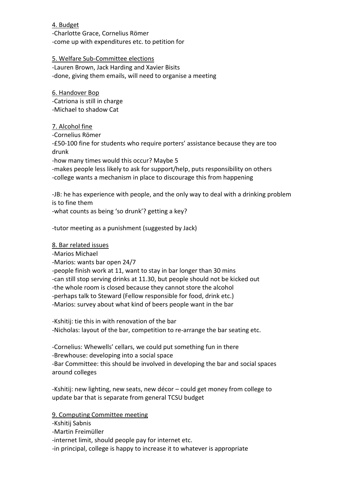## 4. Budget

-Charlotte Grace, Cornelius Römer -come up with expenditures etc. to petition for

## 5. Welfare Sub-Committee elections

-Lauren Brown, Jack Harding and Xavier Bisits -done, giving them emails, will need to organise a meeting

6. Handover Bop -Catriona is still in charge -Michael to shadow Cat

## 7. Alcohol fine

-Cornelius Römer

-£50-100 fine for students who require porters' assistance because they are too drunk

-how many times would this occur? Maybe 5

-makes people less likely to ask for support/help, puts responsibility on others -college wants a mechanism in place to discourage this from happening

-JB: he has experience with people, and the only way to deal with a drinking problem is to fine them

-what counts as being 'so drunk'? getting a key?

-tutor meeting as a punishment (suggested by Jack)

## 8. Bar related issues

-Marios Michael

-Marios: wants bar open 24/7

-people finish work at 11, want to stay in bar longer than 30 mins

-can still stop serving drinks at 11.30, but people should not be kicked out

-the whole room is closed because they cannot store the alcohol

-perhaps talk to Steward (Fellow responsible for food, drink etc.)

-Marios: survey about what kind of beers people want in the bar

-Kshitij: tie this in with renovation of the bar

-Nicholas: layout of the bar, competition to re-arrange the bar seating etc.

-Cornelius: Whewells' cellars, we could put something fun in there -Brewhouse: developing into a social space

-Bar Committee: this should be involved in developing the bar and social spaces around colleges

-Kshitij: new lighting, new seats, new décor – could get money from college to update bar that is separate from general TCSU budget

## 9. Computing Committee meeting

-Kshitij Sabnis

-Martin Freimüller

-internet limit, should people pay for internet etc.

-in principal, college is happy to increase it to whatever is appropriate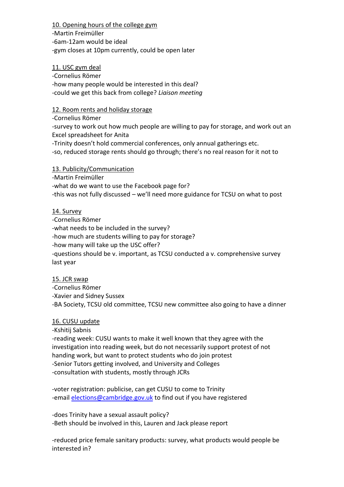10. Opening hours of the college gym

-Martin Freimüller -6am-12am would be ideal -gym closes at 10pm currently, could be open later

## 11. USC gym deal

-Cornelius Römer -how many people would be interested in this deal? -could we get this back from college? *Liaison meeting*

## 12. Room rents and holiday storage

-Cornelius Römer

-survey to work out how much people are willing to pay for storage, and work out an Excel spreadsheet for Anita

-Trinity doesn't hold commercial conferences, only annual gatherings etc.

-so, reduced storage rents should go through; there's no real reason for it not to

# 13. Publicity/Communication

-Martin Freimüller

-what do we want to use the Facebook page for? -this was not fully discussed – we'll need more guidance for TCSU on what to post

# 14. Survey

-Cornelius Römer -what needs to be included in the survey? -how much are students willing to pay for storage? -how many will take up the USC offer? -questions should be v. important, as TCSU conducted a v. comprehensive survey last year

## 15. JCR swap

-Cornelius Römer -Xavier and Sidney Sussex -BA Society, TCSU old committee, TCSU new committee also going to have a dinner

## 16. CUSU update

-Kshitij Sabnis

-reading week: CUSU wants to make it well known that they agree with the investigation into reading week, but do not necessarily support protest of not handing work, but want to protect students who do join protest -Senior Tutors getting involved, and University and Colleges -consultation with students, mostly through JCRs

-voter registration: publicise, can get CUSU to come to Trinity -email [elections@cambridge.gov.uk](mailto:elections@cambridge.gov.uk) to find out if you have registered

-does Trinity have a sexual assault policy? -Beth should be involved in this, Lauren and Jack please report

-reduced price female sanitary products: survey, what products would people be interested in?